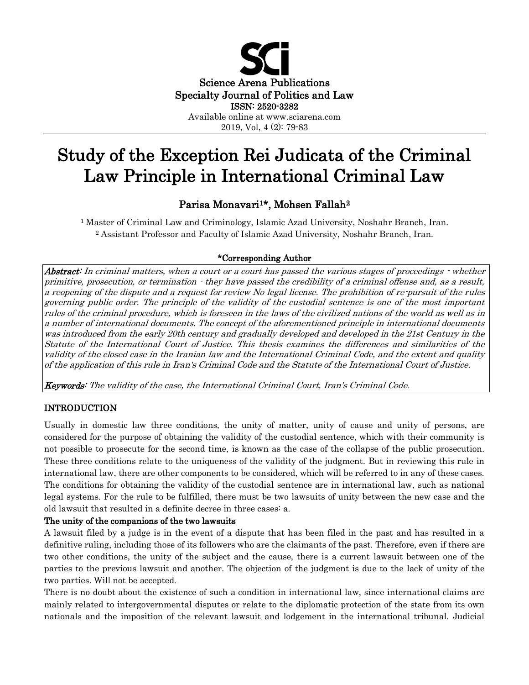

# Study of the Exception Rei Judicata of the Criminal Law Principle in International Criminal Law

# Parisa Monavari<sup>1\*</sup>, Mohsen Fallah<sup>2</sup>

<sup>1</sup> Master of Criminal Law and Criminology, Islamic Azad University, Noshahr Branch, Iran. <sup>2</sup> Assistant Professor and Faculty of Islamic Azad University, Noshahr Branch, Iran.

# \*Corresponding Author

Abstract: In criminal matters, when a court or a court has passed the various stages of proceedings  $\cdot$  whether primitive, prosecution, or termination - they have passed the credibility of a criminal offense and, as a result, a reopening of the dispute and a request for review No legal license. The prohibition of re-pursuit of the rules governing public order. The principle of the validity of the custodial sentence is one of the most important rules of the criminal procedure, which is foreseen in the laws of the civilized nations of the world as well as in a number of international documents. The concept of the aforementioned principle in international documents was introduced from the early 20th century and gradually developed and developed in the 21st Century in the Statute of the International Court of Justice. This thesis examines the differences and similarities of the validity of the closed case in the Iranian law and the International Criminal Code, and the extent and quality of the application of this rule in Iran's Criminal Code and the Statute of the International Court of Justice.

Keywords: The validity of the case, the International Criminal Court, Iran's Criminal Code.

# INTRODUCTION

Usually in domestic law three conditions, the unity of matter, unity of cause and unity of persons, are considered for the purpose of obtaining the validity of the custodial sentence, which with their community is not possible to prosecute for the second time, is known as the case of the collapse of the public prosecution. These three conditions relate to the uniqueness of the validity of the judgment. But in reviewing this rule in international law, there are other components to be considered, which will be referred to in any of these cases. The conditions for obtaining the validity of the custodial sentence are in international law, such as national legal systems. For the rule to be fulfilled, there must be two lawsuits of unity between the new case and the old lawsuit that resulted in a definite decree in three cases: a.

## The unity of the companions of the two lawsuits

A lawsuit filed by a judge is in the event of a dispute that has been filed in the past and has resulted in a definitive ruling, including those of its followers who are the claimants of the past. Therefore, even if there are two other conditions, the unity of the subject and the cause, there is a current lawsuit between one of the parties to the previous lawsuit and another. The objection of the judgment is due to the lack of unity of the two parties. Will not be accepted.

There is no doubt about the existence of such a condition in international law, since international claims are mainly related to intergovernmental disputes or relate to the diplomatic protection of the state from its own nationals and the imposition of the relevant lawsuit and lodgement in the international tribunal. Judicial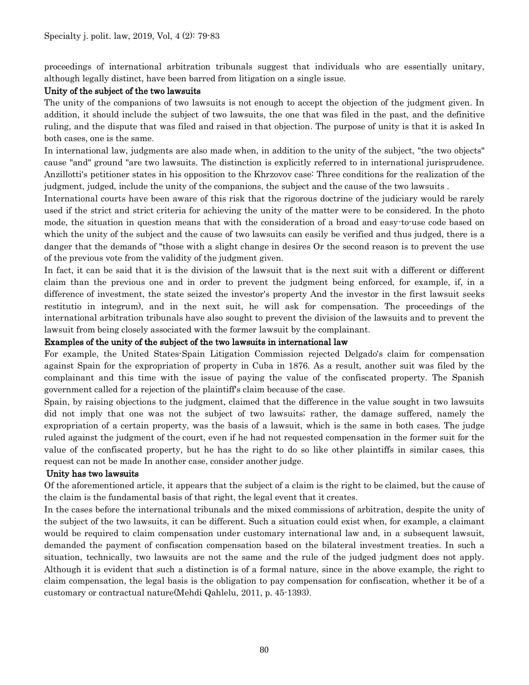proceedings of international arbitration tribunals suggest that individuals who are essentially unitary, although legally distinct, have been barred from litigation on a single issue.

## Unity of the subject of the two lawsuits

The unity of the companions of two lawsuits is not enough to accept the objection of the judgment given. In addition, it should include the subject of two lawsuits, the one that was filed in the past, and the definitive ruling, and the dispute that was filed and raised in that objection. The purpose of unity is that it is asked In both cases, one is the same.

In international law, judgments are also made when, in addition to the unity of the subject, "the two objects" cause "and" ground "are two lawsuits. The distinction is explicitly referred to in international jurisprudence. Anzillotti's petitioner states in his opposition to the Khrzovov case: Three conditions for the realization of the judgment, judged, include the unity of the companions, the subject and the cause of the two lawsuits .

International courts have been aware of this risk that the rigorous doctrine of the judiciary would be rarely used if the strict and strict criteria for achieving the unity of the matter were to be considered. In the photo mode, the situation in question means that with the consideration of a broad and easy-to-use code based on which the unity of the subject and the cause of two lawsuits can easily be verified and thus judged, there is a danger that the demands of "those with a slight change in desires Or the second reason is to prevent the use of the previous vote from the validity of the judgment given.

In fact, it can be said that it is the division of the lawsuit that is the next suit with a different or different claim than the previous one and in order to prevent the judgment being enforced, for example, if, in a difference of investment, the state seized the investor's property And the investor in the first lawsuit seeks restitutio in integrum), and in the next suit, he will ask for compensation. The proceedings of the international arbitration tribunals have also sought to prevent the division of the lawsuits and to prevent the lawsuit from being closely associated with the former lawsuit by the complainant.

## Examples of the unity of the subject of the two lawsuits in international law

For example, the United States-Spain Litigation Commission rejected Delgado's claim for compensation against Spain for the expropriation of property in Cuba in 1876. As a result, another suit was filed by the complainant and this time with the issue of paying the value of the confiscated property. The Spanish government called for a rejection of the plaintiff's claim because of the case.

Spain, by raising objections to the judgment, claimed that the difference in the value sought in two lawsuits did not imply that one was not the subject of two lawsuits; rather, the damage suffered, namely the expropriation of a certain property, was the basis of a lawsuit, which is the same in both cases. The judge ruled against the judgment of the court, even if he had not requested compensation in the former suit for the value of the confiscated property, but he has the right to do so like other plaintiffs in similar cases, this request can not be made In another case, consider another judge.

## Unity has two lawsuits

Of the aforementioned article, it appears that the subject of a claim is the right to be claimed, but the cause of the claim is the fundamental basis of that right, the legal event that it creates.

In the cases before the international tribunals and the mixed commissions of arbitration, despite the unity of the subject of the two lawsuits, it can be different. Such a situation could exist when, for example, a claimant would be required to claim compensation under customary international law and, in a subsequent lawsuit, demanded the payment of confiscation compensation based on the bilateral investment treaties. In such a situation, technically, two lawsuits are not the same and the rule of the judged judgment does not apply. Although it is evident that such a distinction is of a formal nature, since in the above example, the right to claim compensation, the legal basis is the obligation to pay compensation for confiscation, whether it be of a customary or contractual nature(Mehdi Qahlelu, 2011, p. 45-1393).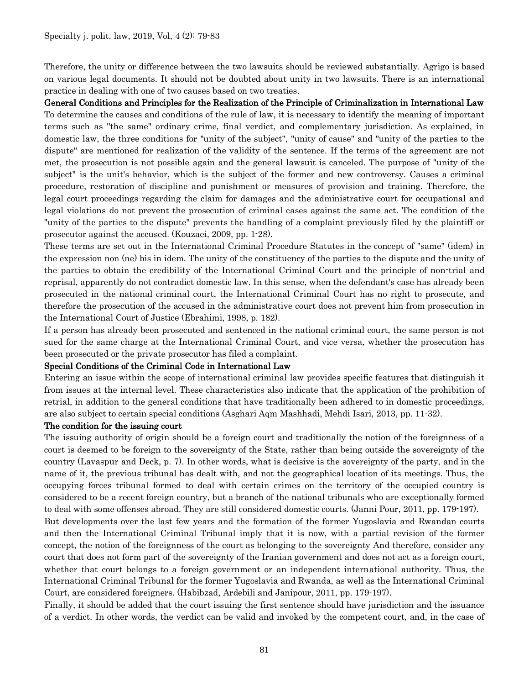Therefore, the unity or difference between the two lawsuits should be reviewed substantially. Agrigo is based on various legal documents. It should not be doubted about unity in two lawsuits. There is an international practice in dealing with one of two causes based on two treaties.

General Conditions and Principles for the Realization of the Principle of Criminalization in International Law

To determine the causes and conditions of the rule of law, it is necessary to identify the meaning of important terms such as "the same" ordinary crime, final verdict, and complementary jurisdiction. As explained, in domestic law, the three conditions for "unity of the subject", "unity of cause" and "unity of the parties to the dispute" are mentioned for realization of the validity of the sentence. If the terms of the agreement are not met, the prosecution is not possible again and the general lawsuit is canceled. The purpose of "unity of the subject" is the unit's behavior, which is the subject of the former and new controversy. Causes a criminal procedure, restoration of discipline and punishment or measures of provision and training. Therefore, the legal court proceedings regarding the claim for damages and the administrative court for occupational and legal violations do not prevent the prosecution of criminal cases against the same act. The condition of the "unity of the parties to the dispute" prevents the handling of a complaint previously filed by the plaintiff or prosecutor against the accused. (Kouzaei, 2009, pp. 1-28).

These terms are set out in the International Criminal Procedure Statutes in the concept of "same" (idem) in the expression non (ne) bis in idem. The unity of the constituency of the parties to the dispute and the unity of the parties to obtain the credibility of the International Criminal Court and the principle of non-trial and reprisal, apparently do not contradict domestic law. In this sense, when the defendant's case has already been prosecuted in the national criminal court, the International Criminal Court has no right to prosecute, and therefore the prosecution of the accused in the administrative court does not prevent him from prosecution in the International Court of Justice (Ebrahimi, 1998, p. 182).

If a person has already been prosecuted and sentenced in the national criminal court, the same person is not sued for the same charge at the International Criminal Court, and vice versa, whether the prosecution has been prosecuted or the private prosecutor has filed a complaint.

#### Special Conditions of the Criminal Code in International Law

Entering an issue within the scope of international criminal law provides specific features that distinguish it from issues at the internal level. These characteristics also indicate that the application of the prohibition of retrial, in addition to the general conditions that have traditionally been adhered to in domestic proceedings, are also subject to certain special conditions (Asghari Aqm Mashhadi, Mehdi Isari, 2013, pp. 11-32).

#### The condition for the issuing court

The issuing authority of origin should be a foreign court and traditionally the notion of the foreignness of a court is deemed to be foreign to the sovereignty of the State, rather than being outside the sovereignty of the country (Lavaspur and Deck, p. 7). In other words, what is decisive is the sovereignty of the party, and in the name of it, the previous tribunal has dealt with, and not the geographical location of its meetings. Thus, the occupying forces tribunal formed to deal with certain crimes on the territory of the occupied country is considered to be a recent foreign country, but a branch of the national tribunals who are exceptionally formed to deal with some offenses abroad. They are still considered domestic courts. (Janni Pour, 2011, pp. 179-197).

But developments over the last few years and the formation of the former Yugoslavia and Rwandan courts and then the International Criminal Tribunal imply that it is now, with a partial revision of the former concept, the notion of the foreignness of the court as belonging to the sovereignty And therefore, consider any court that does not form part of the sovereignty of the Iranian government and does not act as a foreign court, whether that court belongs to a foreign government or an independent international authority. Thus, the International Criminal Tribunal for the former Yugoslavia and Rwanda, as well as the International Criminal Court, are considered foreigners. (Habibzad, Ardebili and Janipour, 2011, pp. 179-197).

Finally, it should be added that the court issuing the first sentence should have jurisdiction and the issuance of a verdict. In other words, the verdict can be valid and invoked by the competent court, and, in the case of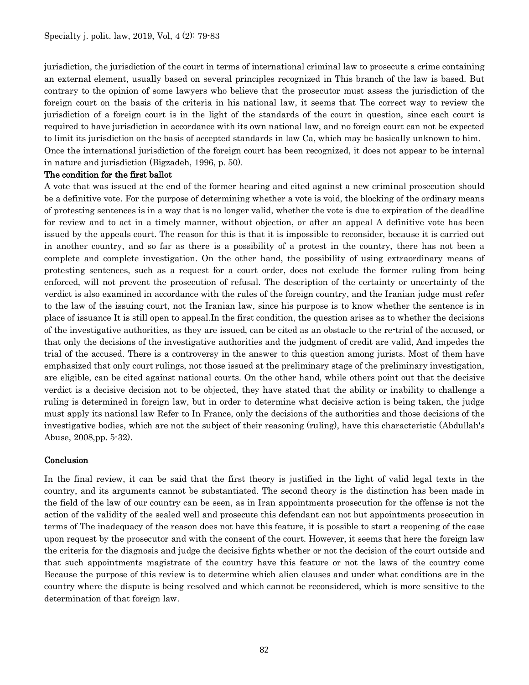jurisdiction, the jurisdiction of the court in terms of international criminal law to prosecute a crime containing an external element, usually based on several principles recognized in This branch of the law is based. But contrary to the opinion of some lawyers who believe that the prosecutor must assess the jurisdiction of the foreign court on the basis of the criteria in his national law, it seems that The correct way to review the jurisdiction of a foreign court is in the light of the standards of the court in question, since each court is required to have jurisdiction in accordance with its own national law, and no foreign court can not be expected to limit its jurisdiction on the basis of accepted standards in law Ca, which may be basically unknown to him. Once the international jurisdiction of the foreign court has been recognized, it does not appear to be internal in nature and jurisdiction (Bigzadeh, 1996, p. 50).

#### The condition for the first ballot

A vote that was issued at the end of the former hearing and cited against a new criminal prosecution should be a definitive vote. For the purpose of determining whether a vote is void, the blocking of the ordinary means of protesting sentences is in a way that is no longer valid, whether the vote is due to expiration of the deadline for review and to act in a timely manner, without objection, or after an appeal A definitive vote has been issued by the appeals court. The reason for this is that it is impossible to reconsider, because it is carried out in another country, and so far as there is a possibility of a protest in the country, there has not been a complete and complete investigation. On the other hand, the possibility of using extraordinary means of protesting sentences, such as a request for a court order, does not exclude the former ruling from being enforced, will not prevent the prosecution of refusal. The description of the certainty or uncertainty of the verdict is also examined in accordance with the rules of the foreign country, and the Iranian judge must refer to the law of the issuing court, not the Iranian law, since his purpose is to know whether the sentence is in place of issuance It is still open to appeal.In the first condition, the question arises as to whether the decisions of the investigative authorities, as they are issued, can be cited as an obstacle to the re-trial of the accused, or that only the decisions of the investigative authorities and the judgment of credit are valid, And impedes the trial of the accused. There is a controversy in the answer to this question among jurists. Most of them have emphasized that only court rulings, not those issued at the preliminary stage of the preliminary investigation, are eligible, can be cited against national courts. On the other hand, while others point out that the decisive verdict is a decisive decision not to be objected, they have stated that the ability or inability to challenge a ruling is determined in foreign law, but in order to determine what decisive action is being taken, the judge must apply its national law Refer to In France, only the decisions of the authorities and those decisions of the investigative bodies, which are not the subject of their reasoning (ruling), have this characteristic (Abdullah's Abuse, 2008,pp. 5-32).

#### Conclusion

In the final review, it can be said that the first theory is justified in the light of valid legal texts in the country, and its arguments cannot be substantiated. The second theory is the distinction has been made in the field of the law of our country can be seen, as in Iran appointments prosecution for the offense is not the action of the validity of the sealed well and prosecute this defendant can not but appointments prosecution in terms of The inadequacy of the reason does not have this feature, it is possible to start a reopening of the case upon request by the prosecutor and with the consent of the court. However, it seems that here the foreign law the criteria for the diagnosis and judge the decisive fights whether or not the decision of the court outside and that such appointments magistrate of the country have this feature or not the laws of the country come Because the purpose of this review is to determine which alien clauses and under what conditions are in the country where the dispute is being resolved and which cannot be reconsidered, which is more sensitive to the determination of that foreign law.